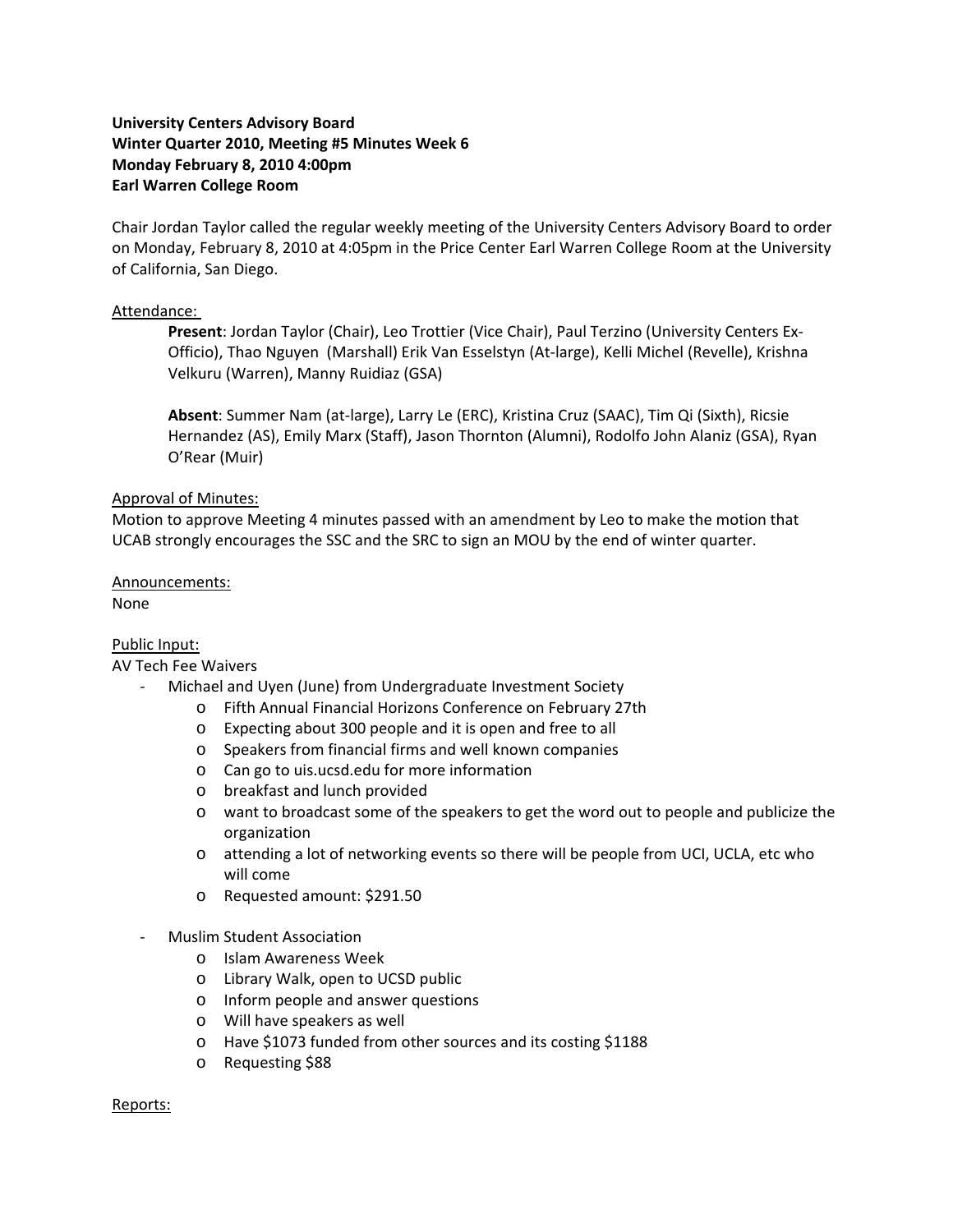# **University Centers Advisory Board Winter Quarter 2010, Meeting #5 Minutes Week 6 Monday February 8, 2010 4:00pm Earl Warren College Room**

Chair Jordan Taylor called the regular weekly meeting of the University Centers Advisory Board to order on Monday, February 8, 2010 at 4:05pm in the Price Center Earl Warren College Room at the University of California, San Diego.

### Attendance:

**Present**: Jordan Taylor (Chair), Leo Trottier (Vice Chair), Paul Terzino (University Centers Ex‐ Officio), Thao Nguyen (Marshall) Erik Van Esselstyn (At‐large), Kelli Michel (Revelle), Krishna Velkuru (Warren), Manny Ruidiaz (GSA)

**Absent**: Summer Nam (at‐large), Larry Le (ERC), Kristina Cruz (SAAC), Tim Qi (Sixth), Ricsie Hernandez (AS), Emily Marx (Staff), Jason Thornton (Alumni), Rodolfo John Alaniz (GSA), Ryan O'Rear (Muir)

### Approval of Minutes:

Motion to approve Meeting 4 minutes passed with an amendment by Leo to make the motion that UCAB strongly encourages the SSC and the SRC to sign an MOU by the end of winter quarter.

# Announcements:

None

# Public Input:

#### AV Tech Fee Waivers

- ‐ Michael and Uyen (June) from Undergraduate Investment Society
	- o Fifth Annual Financial Horizons Conference on February 27th
	- o Expecting about 300 people and it is open and free to all
	- o Speakers from financial firms and well known companies
	- o Can go to uis.ucsd.edu for more information
	- o breakfast and lunch provided
	- o want to broadcast some of the speakers to get the word out to people and publicize the organization
	- o attending a lot of networking events so there will be people from UCI, UCLA, etc who will come
	- o Requested amount: \$291.50
- ‐ Muslim Student Association
	- o Islam Awareness Week
	- o Library Walk, open to UCSD public
	- o Inform people and answer questions
	- o Will have speakers as well
	- o Have \$1073 funded from other sources and its costing \$1188
	- o Requesting \$88

#### Reports: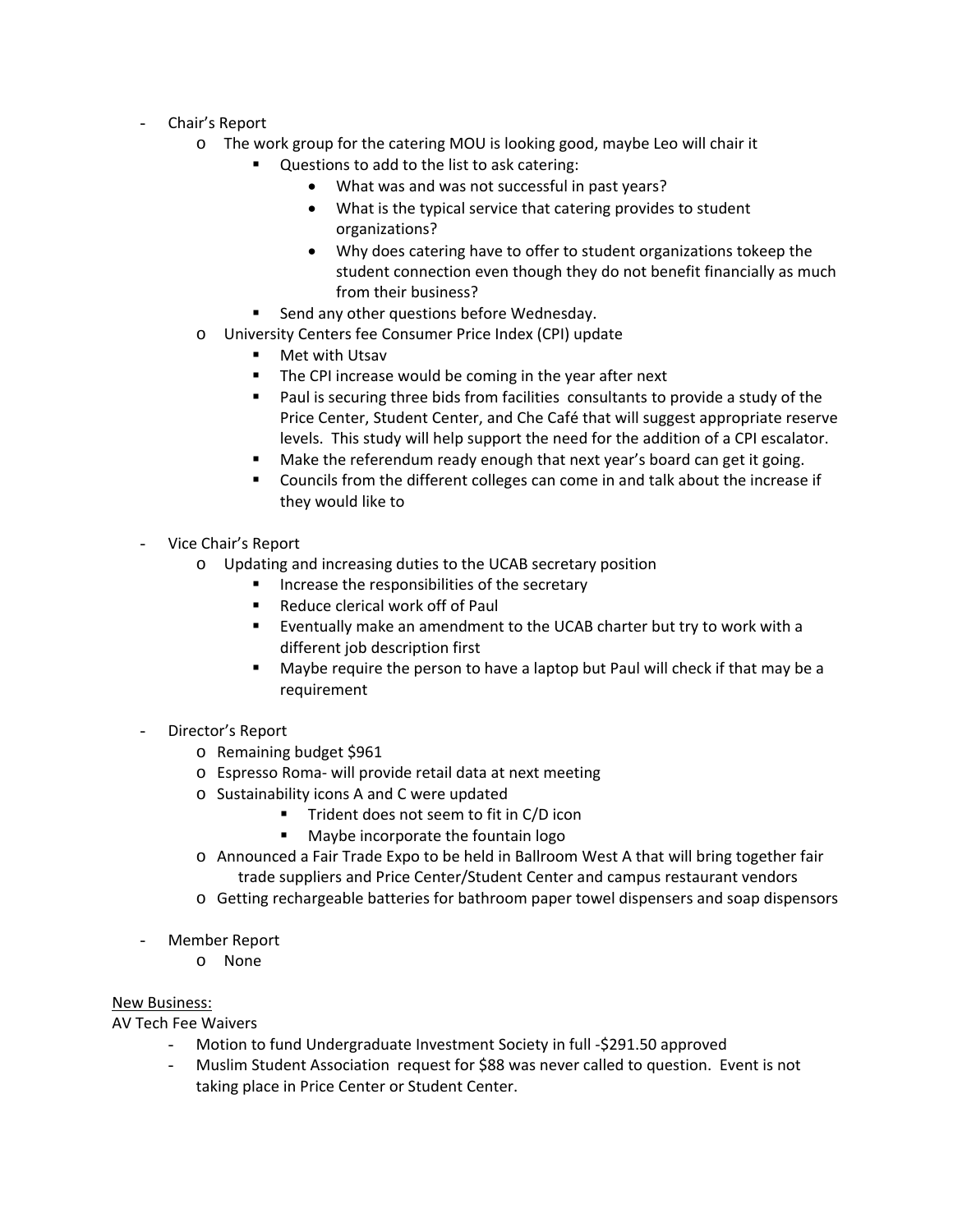- Chair's Report
	- o The work group for the catering MOU is looking good, maybe Leo will chair it
		- Questions to add to the list to ask catering:
			- What was and was not successful in past years?
			- What is the typical service that catering provides to student organizations?
			- Why does catering have to offer to student organizations tokeep the student connection even though they do not benefit financially as much from their business?
		- **EXECTE Send any other questions before Wednesday.**
	- o University Centers fee Consumer Price Index (CPI) update
		- **Net with Utsav**
		- **The CPI increase would be coming in the year after next**
		- Paul is securing three bids from facilities consultants to provide a study of the Price Center, Student Center, and Che Café that will suggest appropriate reserve levels. This study will help support the need for the addition of a CPI escalator.
		- Make the referendum ready enough that next year's board can get it going.
		- Councils from the different colleges can come in and talk about the increase if they would like to
- Vice Chair's Report
	- o Updating and increasing duties to the UCAB secretary position
		- **If** Increase the responsibilities of the secretary
		- Reduce clerical work off of Paul
		- Eventually make an amendment to the UCAB charter but try to work with a different job description first
		- Maybe require the person to have a laptop but Paul will check if that may be a requirement
- Director's Report
	- o Remaining budget \$961
	- o Espresso Roma‐ will provide retail data at next meeting
	- o Sustainability icons A and C were updated
		- **Trident does not seem to fit in C/D icon**
		- **Maybe incorporate the fountain logo**
	- o Announced a Fair Trade Expo to be held in Ballroom West A that will bring together fair trade suppliers and Price Center/Student Center and campus restaurant vendors
	- o Getting rechargeable batteries for bathroom paper towel dispensers and soap dispensors
- Member Report
	- o None

# New Business:

AV Tech Fee Waivers

- Motion to fund Undergraduate Investment Society in full ‐\$291.50 approved
- Muslim Student Association request for \$88 was never called to question. Event is not taking place in Price Center or Student Center.